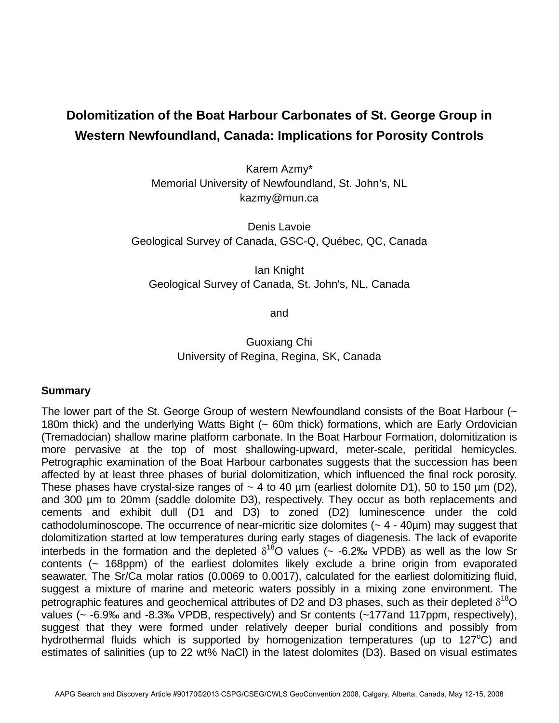## **Dolomitization of the Boat Harbour Carbonates of St. George Group in Western Newfoundland, Canada: Implications for Porosity Controls**

Karem Azmy\* Memorial University of Newfoundland, St. John's, NL kazmy@mun.ca

Denis Lavoie Geological Survey of Canada, GSC-Q, Québec, QC, Canada

Ian Knight Geological Survey of Canada, St. John's, NL, Canada

and

## Guoxiang Chi University of Regina, Regina, SK, Canada

## **Summary**

The lower part of the St. George Group of western Newfoundland consists of the Boat Harbour (~ 180m thick) and the underlying Watts Bight (~ 60m thick) formations, which are Early Ordovician (Tremadocian) shallow marine platform carbonate. In the Boat Harbour Formation, dolomitization is more pervasive at the top of most shallowing-upward, meter-scale, peritidal hemicycles. Petrographic examination of the Boat Harbour carbonates suggests that the succession has been affected by at least three phases of burial dolomitization, which influenced the final rock porosity. These phases have crystal-size ranges of  $\sim$  4 to 40  $\mu$ m (earliest dolomite D1), 50 to 150  $\mu$ m (D2), and 300 µm to 20mm (saddle dolomite D3), respectively. They occur as both replacements and cements and exhibit dull (D1 and D3) to zoned (D2) luminescence under the cold cathodoluminoscope. The occurrence of near-micritic size dolomites (~ 4 - 40µm) may suggest that dolomitization started at low temperatures during early stages of diagenesis. The lack of evaporite interbeds in the formation and the depleted  $\delta^{18}$ O values (~ -6.2‰ VPDB) as well as the low Sr contents (~ 168ppm) of the earliest dolomites likely exclude a brine origin from evaporated seawater. The Sr/Ca molar ratios (0.0069 to 0.0017), calculated for the earliest dolomitizing fluid, suggest a mixture of marine and meteoric waters possibly in a mixing zone environment. The petrographic features and geochemical attributes of D2 and D3 phases, such as their depleted  $\delta^{18}O$ values (~ -6.9‰ and -8.3‰ VPDB, respectively) and Sr contents (~177and 117ppm, respectively), suggest that they were formed under relatively deeper burial conditions and possibly from hydrothermal fluids which is supported by homogenization temperatures (up to  $127^{\circ}$ C) and estimates of salinities (up to 22 wt% NaCl) in the latest dolomites (D3). Based on visual estimates